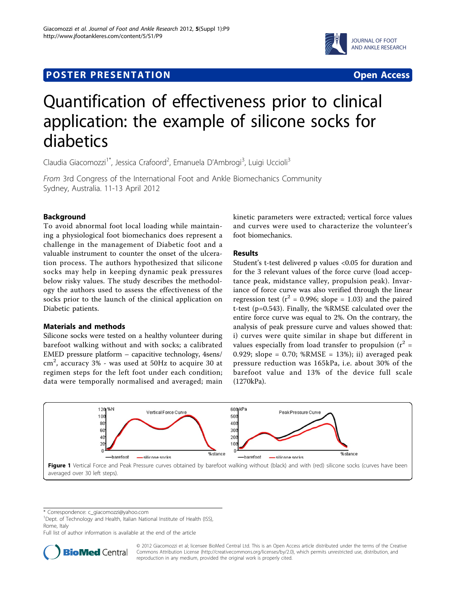## **POSTER PRESENTATION CONSUMING ACCESS**



# Quantification of effectiveness prior to clinical application: the example of silicone socks for diabetics

Claudia Giacomozzi<sup>1\*</sup>, Jessica Crafoord<sup>2</sup>, Emanuela D'Ambrogi<sup>3</sup>, Luigi Uccioli<sup>3</sup>

From 3rd Congress of the International Foot and Ankle Biomechanics Community Sydney, Australia. 11-13 April 2012

## Background

To avoid abnormal foot local loading while maintaining a physiological foot biomechanics does represent a challenge in the management of Diabetic foot and a valuable instrument to counter the onset of the ulceration process. The authors hypothesized that silicone socks may help in keeping dynamic peak pressures below risky values. The study describes the methodology the authors used to assess the effectiveness of the socks prior to the launch of the clinical application on Diabetic patients.

### Materials and methods

Silicone socks were tested on a healthy volunteer during barefoot walking without and with socks; a calibrated EMED pressure platform – capacitive technology, 4sens/ cm<sup>2</sup> , accuracy 3% - was used at 50Hz to acquire 30 at regimen steps for the left foot under each condition; data were temporally normalised and averaged; main kinetic parameters were extracted; vertical force values and curves were used to characterize the volunteer's foot biomechanics.

## Results

Student's t-test delivered p values <0.05 for duration and for the 3 relevant values of the force curve (load acceptance peak, midstance valley, propulsion peak). Invariance of force curve was also verified through the linear regression test ( $r^2$  = 0.996; slope = 1.03) and the paired t-test (p=0.543). Finally, the %RMSE calculated over the entire force curve was equal to 2%. On the contrary, the analysis of peak pressure curve and values showed that: i) curves were quite similar in shape but different in values especially from load transfer to propulsion  $(r^2 =$ 0.929; slope =  $0.70$ ; %RMSE =  $13$ %); ii) averaged peak pressure reduction was 165kPa, i.e. about 30% of the barefoot value and 13% of the device full scale (1270kPa).



\* Correspondence: [c\\_giacomozzi@yahoo.com](mailto:c_giacomozzi@yahoo.com)

<sup>1</sup>Dept. of Technology and Health, Italian National Institute of Health (ISS), Rome, Italy

Full list of author information is available at the end of the article



© 2012 Giacomozzi et al; licensee BioMed Central Ltd. This is an Open Access article distributed under the terms of the Creative Commons Attribution License [\(http://creativecommons.org/licenses/by/2.0](http://creativecommons.org/licenses/by/2.0)), which permits unrestricted use, distribution, and reproduction in any medium, provided the original work is properly cited.